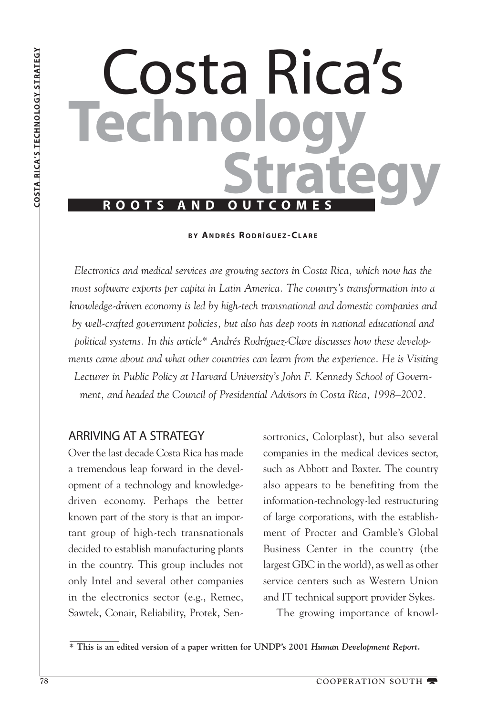# Costa Rica's **Technology**<br>Strategy

**B Y ANDRÉS R ODRÎGUEZ - CLARE**

*Electronics and medical services are growing sectors in Costa Rica, which now has the most software exports per capita in Latin America. The country's transformation into a knowledge-driven economy is led by high-tech transnational and domestic companies and by well-crafted government policies, but also has deep roots in national educational and political systems. In this article\* Andrés Rodríguez-Clare discusses how these developments came about and what other countries can learn from the experience. He is Visiting Lecturer in Public Policy at Harvard University's John F. Kennedy School of Government, and headed the Council of Presidential Advisors in Costa Rica, 1998–2002.*

## ARRIVING AT A STRATEGY

Over the last decade Costa Rica has made a tremendous leap forward in the development of a technology and knowledgedriven economy. Perhaps the better known part of the story is that an important group of high-tech transnationals decided to establish manufacturing plants in the country. This group includes not only Intel and several other companies in the electronics sector (e.g., Remec, Sawtek, Conair, Reliability, Protek, Sensortronics, Colorplast), but also several companies in the medical devices sector, such as Abbott and Baxter. The country also appears to be benefiting from the information-technology-led restructuring of large corporations, with the establishment of Procter and Gamble's Global Business Center in the country (the largest GBC in the world), as well as other service centers such as Western Union and IT technical support provider Sykes.

The growing importance of knowl-

**\* This is an edited version of a paper written for UNDP's 2001** *Human Development Report.*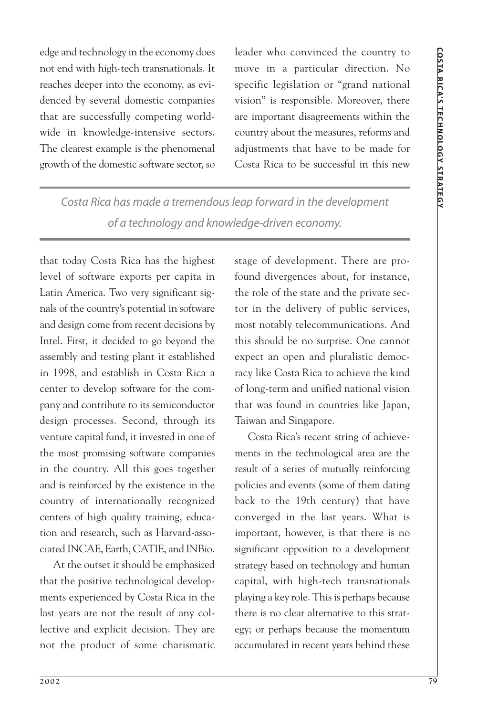edge and technology in the economy does not end with high-tech transnationals. It reaches deeper into the economy, as evidenced by several domestic companies that are successfully competing worldwide in knowledge-intensive sectors. The clearest example is the phenomenal growth of the domestic software sector, so

leader who convinced the country to move in a particular direction. No specific legislation or "grand national vision" is responsible. Moreover, there are important disagreements within the country about the measures, reforms and adjustments that have to be made for Costa Rica to be successful in this new

*Costa Rica has made a tremendous leap forward in the development of a technology and knowledge-driven economy.*

that today Costa Rica has the highest level of software exports per capita in Latin America. Two very significant signals of the country's potential in software and design come from recent decisions by Intel. First, it decided to go beyond the assembly and testing plant it established in 1998, and establish in Costa Rica a center to develop software for the company and contribute to its semiconductor design processes. Second, through its venture capital fund, it invested in one of the most promising software companies in the country. All this goes together and is reinforced by the existence in the country of internationally recognized centers of high quality training, education and research, such as Harvard-associated INCAE, Earth, CATIE, and INBio.

At the outset it should be emphasized that the positive technological developments experienced by Costa Rica in the last years are not the result of any collective and explicit decision. They are not the product of some charismatic stage of development. There are profound divergences about, for instance, the role of the state and the private sector in the delivery of public services, most notably telecommunications. And this should be no surprise. One cannot expect an open and pluralistic democracy like Costa Rica to achieve the kind of long-term and unified national vision that was found in countries like Japan, Taiwan and Singapore.

Costa Rica's recent string of achievements in the technological area are the result of a series of mutually reinforcing policies and events (some of them dating back to the 19th century) that have converged in the last years. What is important, however, is that there is no significant opposition to a development strategy based on technology and human capital, with high-tech transnationals playing a key role. This is perhaps because there is no clear alternative to this strategy; or perhaps because the momentum accumulated in recent years behind these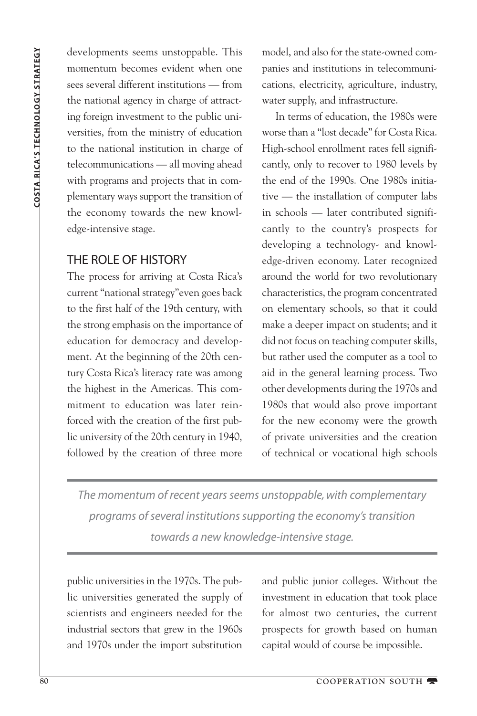developments seems unstoppable. This momentum becomes evident when one sees several different institutions — from the national agency in charge of attracting foreign investment to the public universities, from the ministry of education to the national institution in charge of telecommunications — all moving ahead with programs and projects that in complementary ways support the transition of the economy towards the new knowledge-intensive stage.

# THE ROLE OF HISTORY

The process for arriving at Costa Rica's current "national strategy"even goes back to the first half of the 19th century, with the strong emphasis on the importance of education for democracy and development. At the beginning of the 20th century Costa Rica's literacy rate was among the highest in the Americas. This commitment to education was later reinforced with the creation of the first public university of the 20th century in 1940, followed by the creation of three more

model, and also for the state-owned companies and institutions in telecommunications, electricity, agriculture, industry, water supply, and infrastructure.

In terms of education, the 1980s were worse than a "lost decade" for Costa Rica. High-school enrollment rates fell significantly, only to recover to 1980 levels by the end of the 1990s. One 1980s initiative — the installation of computer labs in schools — later contributed significantly to the country's prospects for developing a technology- and knowledge-driven economy. Later recognized around the world for two revolutionary characteristics, the program concentrated on elementary schools, so that it could make a deeper impact on students; and it did not focus on teaching computer skills, but rather used the computer as a tool to aid in the general learning process. Two other developments during the 1970s and 1980s that would also prove important for the new economy were the growth of private universities and the creation of technical or vocational high schools

*The momentum of recent years seems unstoppable, with complementary programs of several institutions supporting the economy's transition towards a new knowledge-intensive stage.*

public universities in the 1970s. The public universities generated the supply of scientists and engineers needed for the industrial sectors that grew in the 1960s and 1970s under the import substitution and public junior colleges. Without the investment in education that took place for almost two centuries, the current prospects for growth based on human capital would of course be impossible.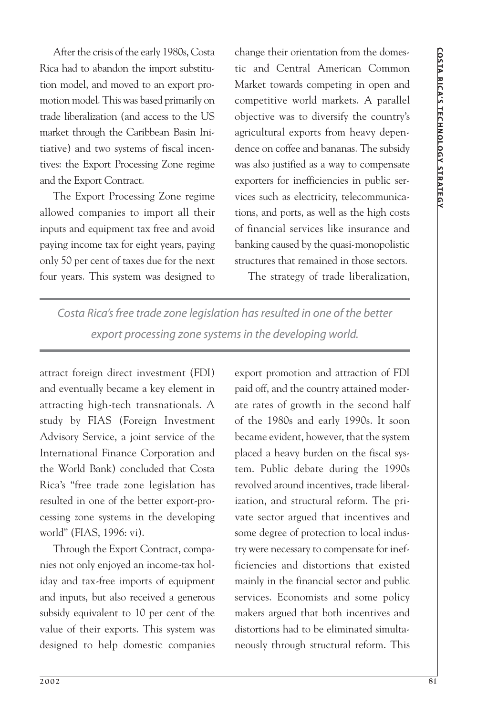After the crisis of the early 1980s, Costa Rica had to abandon the import substitution model, and moved to an export promotion model. This was based primarily on trade liberalization (and access to the US market through the Caribbean Basin Initiative) and two systems of fiscal incentives: the Export Processing Zone regime and the Export Contract.

The Export Processing Zone regime allowed companies to import all their inputs and equipment tax free and avoid paying income tax for eight years, paying only 50 per cent of taxes due for the next four years. This system was designed to change their orientation from the domestic and Central American Common Market towards competing in open and competitive world markets. A parallel objective was to diversify the country's agricultural exports from heavy dependence on coffee and bananas. The subsidy was also justified as a way to compensate exporters for inefficiencies in public services such as electricity, telecommunications, and ports, as well as the high costs of financial services like insurance and banking caused by the quasi-monopolistic structures that remained in those sectors.

The strategy of trade liberalization,

*Costa Rica's free trade zone legislation has resulted in one of the better export processing zone systems in the developing world.*

attract foreign direct investment (FDI) and eventually became a key element in attracting high-tech transnationals. A study by FIAS (Foreign Investment Advisory Service, a joint service of the International Finance Corporation and the World Bank) concluded that Costa Rica's "free trade zone legislation has resulted in one of the better export-processing zone systems in the developing world" (FIAS, 1996: vi).

Through the Export Contract, companies not only enjoyed an income-tax holiday and tax-free imports of equipment and inputs, but also received a generous subsidy equivalent to 10 per cent of the value of their exports. This system was designed to help domestic companies export promotion and attraction of FDI paid off, and the country attained moderate rates of growth in the second half of the 1980s and early 1990s. It soon became evident, however, that the system placed a heavy burden on the fiscal system. Public debate during the 1990s revolved around incentives, trade liberalization, and structural reform. The private sector argued that incentives and some degree of protection to local industry were necessary to compensate for inefficiencies and distortions that existed mainly in the financial sector and public services. Economists and some policy makers argued that both incentives and distortions had to be eliminated simultaneously through structural reform. This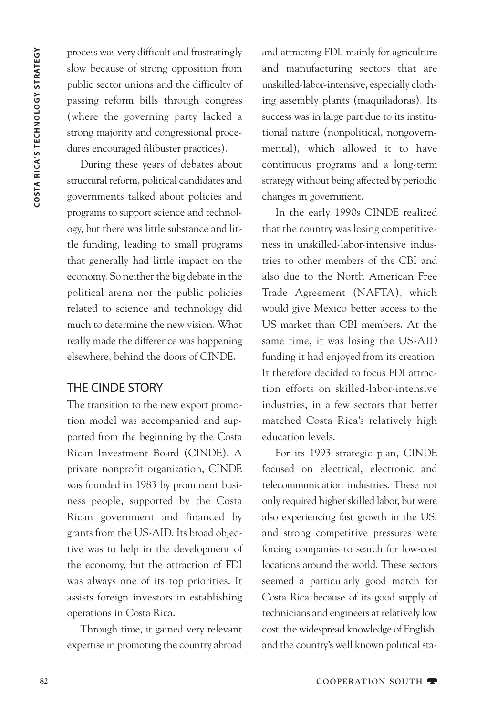process was very difficult and frustratingly slow because of strong opposition from public sector unions and the difficulty of passing reform bills through congress (where the governing party lacked a strong majority and congressional procedures encouraged filibuster practices).

During these years of debates about structural reform, political candidates and governments talked about policies and programs to support science and technology, but there was little substance and little funding, leading to small programs that generally had little impact on the economy. So neither the big debate in the political arena nor the public policies related to science and technology did much to determine the new vision. What really made the difference was happening elsewhere, behind the doors of CINDE.

## THE CINDE STORY

The transition to the new export promotion model was accompanied and supported from the beginning by the Costa Rican Investment Board (CINDE). A private nonprofit organization, CINDE was founded in 1983 by prominent business people, supported by the Costa Rican government and financed by grants from the US-AID. Its broad objective was to help in the development of the economy, but the attraction of FDI was always one of its top priorities. It assists foreign investors in establishing operations in Costa Rica.

Through time, it gained very relevant expertise in promoting the country abroad and attracting FDI, mainly for agriculture and manufacturing sectors that are unskilled-labor-intensive, especially clothing assembly plants (maquiladoras). Its success was in large part due to its institutional nature (nonpolitical, nongovernmental), which allowed it to have continuous programs and a long-term strategy without being affected by periodic changes in government.

In the early 1990s CINDE realized that the country was losing competitiveness in unskilled-labor-intensive industries to other members of the CBI and also due to the North American Free Trade Agreement (NAFTA), which would give Mexico better access to the US market than CBI members. At the same time, it was losing the US-AID funding it had enjoyed from its creation. It therefore decided to focus FDI attraction efforts on skilled-labor-intensive industries, in a few sectors that better matched Costa Rica's relatively high education levels.

For its 1993 strategic plan, CINDE focused on electrical, electronic and telecommunication industries. These not only required higher skilled labor, but were also experiencing fast growth in the US, and strong competitive pressures were forcing companies to search for low-cost locations around the world. These sectors seemed a particularly good match for Costa Rica because of its good supply of technicians and engineers at relatively low cost, the widespread knowledge of English, and the country's well known political sta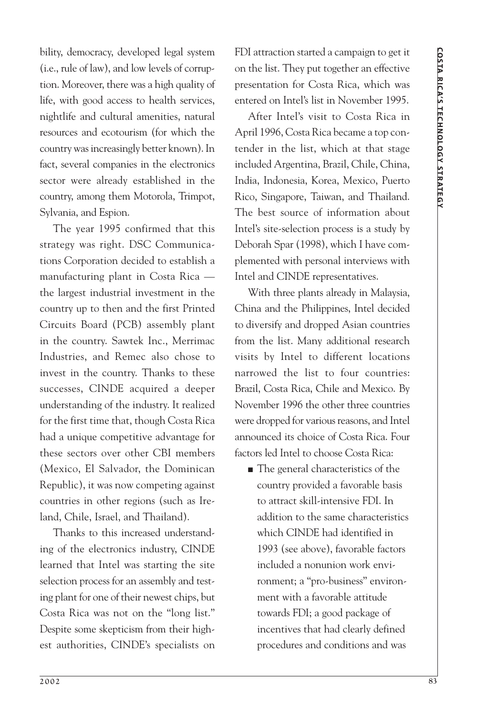bility, democracy, developed legal system (i.e., rule of law), and low levels of corruption. Moreover, there was a high quality of life, with good access to health services, nightlife and cultural amenities, natural resources and ecotourism (for which the country was increasingly better known). In fact, several companies in the electronics sector were already established in the country, among them Motorola, Trimpot, Sylvania, and Espion.

The year 1995 confirmed that this strategy was right. DSC Communications Corporation decided to establish a manufacturing plant in Costa Rica the largest industrial investment in the country up to then and the first Printed Circuits Board (PCB) assembly plant in the country. Sawtek Inc., Merrimac Industries, and Remec also chose to invest in the country. Thanks to these successes, CINDE acquired a deeper understanding of the industry. It realized for the first time that, though Costa Rica had a unique competitive advantage for these sectors over other CBI members (Mexico, El Salvador, the Dominican Republic), it was now competing against countries in other regions (such as Ireland, Chile, Israel, and Thailand).

Thanks to this increased understanding of the electronics industry, CINDE learned that Intel was starting the site selection process for an assembly and testing plant for one of their newest chips, but Costa Rica was not on the "long list." Despite some skepticism from their highest authorities, CINDE's specialists on FDI attraction started a campaign to get it on the list. They put together an effective presentation for Costa Rica, which was entered on Intel's list in November 1995.

After Intel's visit to Costa Rica in April 1996, Costa Rica became a top contender in the list, which at that stage included Argentina, Brazil, Chile, China, India, Indonesia, Korea, Mexico, Puerto Rico, Singapore, Taiwan, and Thailand. The best source of information about Intel's site-selection process is a study by Deborah Spar (1998), which I have complemented with personal interviews with Intel and CINDE representatives.

With three plants already in Malaysia, China and the Philippines, Intel decided to diversify and dropped Asian countries from the list. Many additional research visits by Intel to different locations narrowed the list to four countries: Brazil, Costa Rica, Chile and Mexico. By November 1996 the other three countries were dropped for various reasons, and Intel announced its choice of Costa Rica. Four factors led Intel to choose Costa Rica:

■ The general characteristics of the country provided a favorable basis to attract skill-intensive FDI. In addition to the same characteristics which CINDE had identified in 1993 (see above), favorable factors included a nonunion work environment; a "pro-business" environment with a favorable attitude towards FDI; a good package of incentives that had clearly defined procedures and conditions and was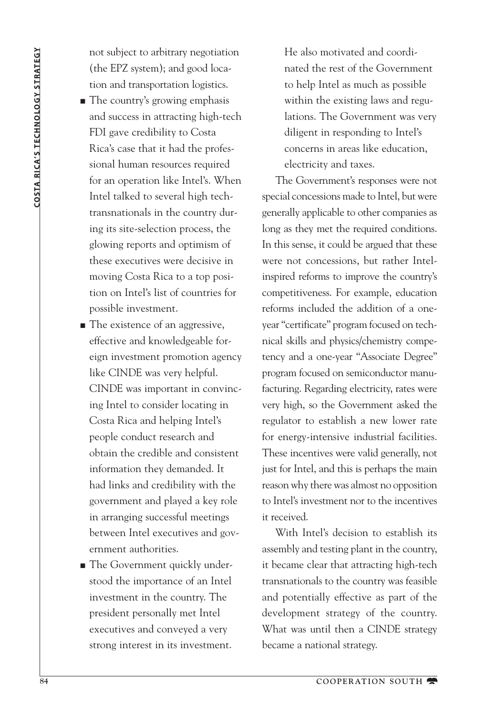not subject to arbitrary negotiation (the EPZ system); and good location and transportation logistics.

- The country's growing emphasis and success in attracting high-tech FDI gave credibility to Costa Rica's case that it had the professional human resources required for an operation like Intel's. When Intel talked to several high techtransnationals in the country during its site-selection process, the glowing reports and optimism of these executives were decisive in moving Costa Rica to a top position on Intel's list of countries for possible investment.
- The existence of an aggressive, effective and knowledgeable foreign investment promotion agency like CINDE was very helpful. CINDE was important in convincing Intel to consider locating in Costa Rica and helping Intel's people conduct research and obtain the credible and consistent information they demanded. It had links and credibility with the government and played a key role in arranging successful meetings between Intel executives and government authorities.
- The Government quickly understood the importance of an Intel investment in the country. The president personally met Intel executives and conveyed a very strong interest in its investment.

He also motivated and coordinated the rest of the Government to help Intel as much as possible within the existing laws and regulations. The Government was very diligent in responding to Intel's concerns in areas like education, electricity and taxes.

The Government's responses were not special concessions made to Intel, but were generally applicable to other companies as long as they met the required conditions. In this sense, it could be argued that these were not concessions, but rather Intelinspired reforms to improve the country's competitiveness. For example, education reforms included the addition of a oneyear "certificate" program focused on technical skills and physics/chemistry competency and a one-year "Associate Degree" program focused on semiconductor manufacturing. Regarding electricity, rates were very high, so the Government asked the regulator to establish a new lower rate for energy-intensive industrial facilities. These incentives were valid generally, not just for Intel, and this is perhaps the main reason why there was almost no opposition to Intel's investment nor to the incentives it received.

With Intel's decision to establish its assembly and testing plant in the country, it became clear that attracting high-tech transnationals to the country was feasible and potentially effective as part of the development strategy of the country. What was until then a CINDE strategy became a national strategy.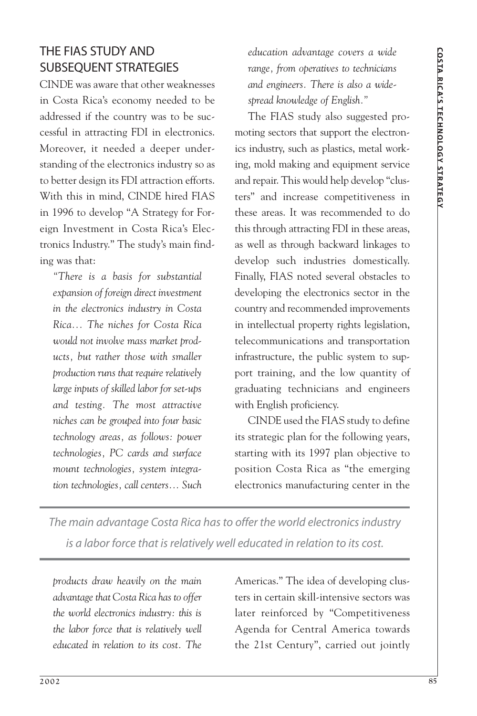# THE FIAS STUDY AND SUBSEQUENT STRATEGIES

CINDE was aware that other weaknesses in Costa Rica's economy needed to be addressed if the country was to be successful in attracting FDI in electronics. Moreover, it needed a deeper understanding of the electronics industry so as to better design its FDI attraction efforts. With this in mind, CINDE hired FIAS in 1996 to develop "A Strategy for Foreign Investment in Costa Rica's Electronics Industry." The study's main finding was that:

*"There is a basis for substantial expansion of foreign direct investment in the electronics industry in Costa Rica... The niches for Costa Rica would not involve mass market products, but rather those with smaller production runs that require relatively large inputs of skilled labor for set-ups and testing. The most attractive niches can be grouped into four basic technology areas, as follows: power technologies, PC cards and surface mount technologies, system integration technologies, call centers... Such* *education advantage covers a wide range, from operatives to technicians and engineers. There is also a widespread knowledge of English."*

The FIAS study also suggested promoting sectors that support the electronics industry, such as plastics, metal working, mold making and equipment service and repair. This would help develop "clusters" and increase competitiveness in these areas. It was recommended to do this through attracting FDI in these areas, as well as through backward linkages to develop such industries domestically. Finally, FIAS noted several obstacles to developing the electronics sector in the country and recommended improvements in intellectual property rights legislation, telecommunications and transportation infrastructure, the public system to support training, and the low quantity of graduating technicians and engineers with English proficiency.

CINDE used the FIAS study to define its strategic plan for the following years, starting with its 1997 plan objective to position Costa Rica as "the emerging electronics manufacturing center in the

*The main advantage Costa Rica has to offer the world electronics industry is a labor force that is relatively well educated in relation to its cost.*

*products draw heavily on the main advantage that Costa Rica has to offer the world electronics industry: this is the labor force that is relatively well educated in relation to its cost. The* Americas." The idea of developing clusters in certain skill-intensive sectors was later reinforced by "Competitiveness Agenda for Central America towards the 21st Century", carried out jointly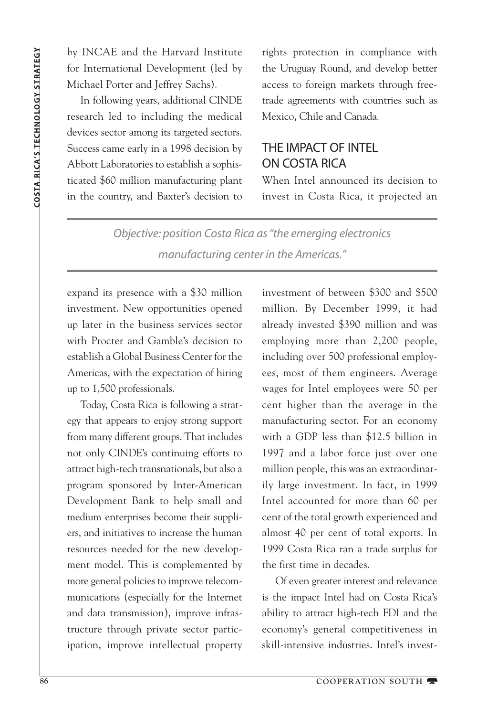by INCAE and the Harvard Institute for International Development (led by Michael Porter and Jeffrey Sachs).

In following years, additional CINDE research led to including the medical devices sector among its targeted sectors. Success came early in a 1998 decision by Abbott Laboratories to establish a sophisticated \$60 million manufacturing plant in the country, and Baxter's decision to rights protection in compliance with the Uruguay Round, and develop better access to foreign markets through freetrade agreements with countries such as Mexico, Chile and Canada.

# THE IMPACT OF INTEL ON COSTA RICA

When Intel announced its decision to invest in Costa Rica, it projected an

*Objective: position Costa Rica as "the emerging electronics manufacturing center in the Americas."*

expand its presence with a \$30 million investment. New opportunities opened up later in the business services sector with Procter and Gamble's decision to establish a Global Business Center for the Americas, with the expectation of hiring up to 1,500 professionals.

Today, Costa Rica is following a strategy that appears to enjoy strong support from many different groups. That includes not only CINDE's continuing efforts to attract high-tech transnationals, but also a program sponsored by Inter-American Development Bank to help small and medium enterprises become their suppliers, and initiatives to increase the human resources needed for the new development model. This is complemented by more general policies to improve telecommunications (especially for the Internet and data transmission), improve infrastructure through private sector participation, improve intellectual property investment of between \$300 and \$500 million. By December 1999, it had already invested \$390 million and was employing more than 2,200 people, including over 500 professional employees, most of them engineers. Average wages for Intel employees were 50 per cent higher than the average in the manufacturing sector. For an economy with a GDP less than \$12.5 billion in 1997 and a labor force just over one million people, this was an extraordinarily large investment. In fact, in 1999 Intel accounted for more than 60 per cent of the total growth experienced and almost 40 per cent of total exports. In 1999 Costa Rica ran a trade surplus for the first time in decades.

Of even greater interest and relevance is the impact Intel had on Costa Rica's ability to attract high-tech FDI and the economy's general competitiveness in skill-intensive industries. Intel's invest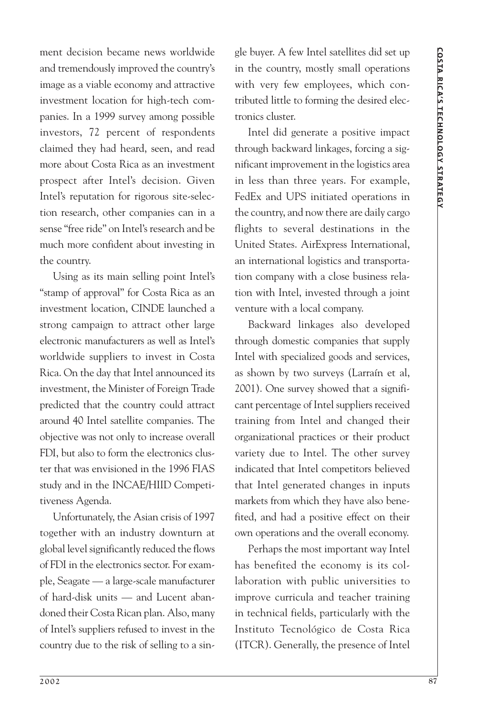ment decision became news worldwide and tremendously improved the country's image as a viable economy and attractive investment location for high-tech companies. In a 1999 survey among possible investors, 72 percent of respondents claimed they had heard, seen, and read more about Costa Rica as an investment prospect after Intel's decision. Given Intel's reputation for rigorous site-selection research, other companies can in a sense "free ride" on Intel's research and be much more confident about investing in the country.

Using as its main selling point Intel's "stamp of approval" for Costa Rica as an investment location, CINDE launched a strong campaign to attract other large electronic manufacturers as well as Intel's worldwide suppliers to invest in Costa Rica. On the day that Intel announced its investment, the Minister of Foreign Trade predicted that the country could attract around 40 Intel satellite companies. The objective was not only to increase overall FDI, but also to form the electronics cluster that was envisioned in the 1996 FIAS study and in the INCAE/HIID Competitiveness Agenda.

Unfortunately, the Asian crisis of 1997 together with an industry downturn at global level significantly reduced the flows of FDI in the electronics sector. For example, Seagate — a large-scale manufacturer of hard-disk units — and Lucent abandoned their Costa Rican plan. Also, many of Intel's suppliers refused to invest in the country due to the risk of selling to a single buyer. A few Intel satellites did set up in the country, mostly small operations with very few employees, which contributed little to forming the desired electronics cluster.

Intel did generate a positive impact through backward linkages, forcing a significant improvement in the logistics area in less than three years. For example, FedEx and UPS initiated operations in the country, and now there are daily cargo flights to several destinations in the United States. AirExpress International, an international logistics and transportation company with a close business relation with Intel, invested through a joint venture with a local company.

Backward linkages also developed through domestic companies that supply Intel with specialized goods and services, as shown by two surveys (Larraín et al, 2001). One survey showed that a significant percentage of Intel suppliers received training from Intel and changed their organizational practices or their product variety due to Intel. The other survey indicated that Intel competitors believed that Intel generated changes in inputs markets from which they have also benefited, and had a positive effect on their own operations and the overall economy.

Perhaps the most important way Intel has benefited the economy is its collaboration with public universities to improve curricula and teacher training in technical fields, particularly with the Instituto Tecnológico de Costa Rica (ITCR). Generally, the presence of Intel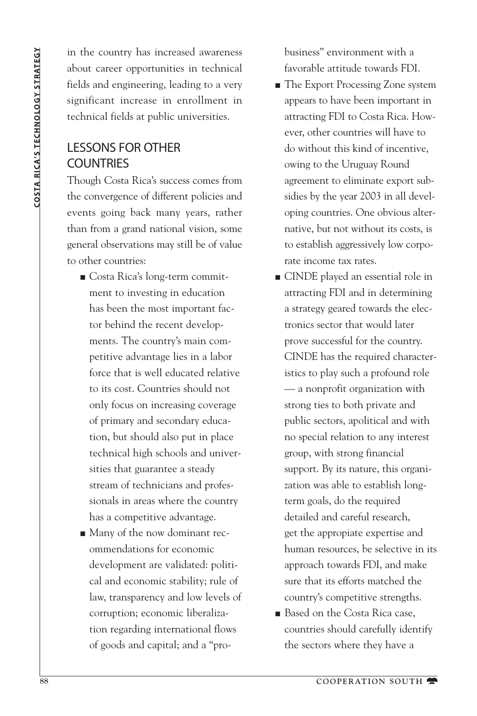in the country has increased awareness about career opportunities in technical fields and engineering, leading to a very significant increase in enrollment in technical fields at public universities.

# LESSONS FOR OTHER **COUNTRIES**

Though Costa Rica's success comes from the convergence of different policies and events going back many years, rather than from a grand national vision, some general observations may still be of value to other countries:

- Costa Rica's long-term commitment to investing in education has been the most important factor behind the recent developments. The country's main competitive advantage lies in a labor force that is well educated relative to its cost. Countries should not only focus on increasing coverage of primary and secondary education, but should also put in place technical high schools and universities that guarantee a steady stream of technicians and professionals in areas where the country has a competitive advantage.
- Many of the now dominant recommendations for economic development are validated: political and economic stability; rule of law, transparency and low levels of corruption; economic liberalization regarding international flows of goods and capital; and a "pro-

business" environment with a favorable attitude towards FDI.

- The Export Processing Zone system appears to have been important in attracting FDI to Costa Rica. However, other countries will have to do without this kind of incentive, owing to the Uruguay Round agreement to eliminate export subsidies by the year 2003 in all developing countries. One obvious alternative, but not without its costs, is to establish aggressively low corporate income tax rates.
- CINDE played an essential role in attracting FDI and in determining a strategy geared towards the electronics sector that would later prove successful for the country. CINDE has the required characteristics to play such a profound role — a nonprofit organization with strong ties to both private and public sectors, apolitical and with no special relation to any interest group, with strong financial support. By its nature, this organization was able to establish longterm goals, do the required detailed and careful research, get the appropiate expertise and human resources, be selective in its approach towards FDI, and make sure that its efforts matched the country's competitive strengths.
- Based on the Costa Rica case, countries should carefully identify the sectors where they have a